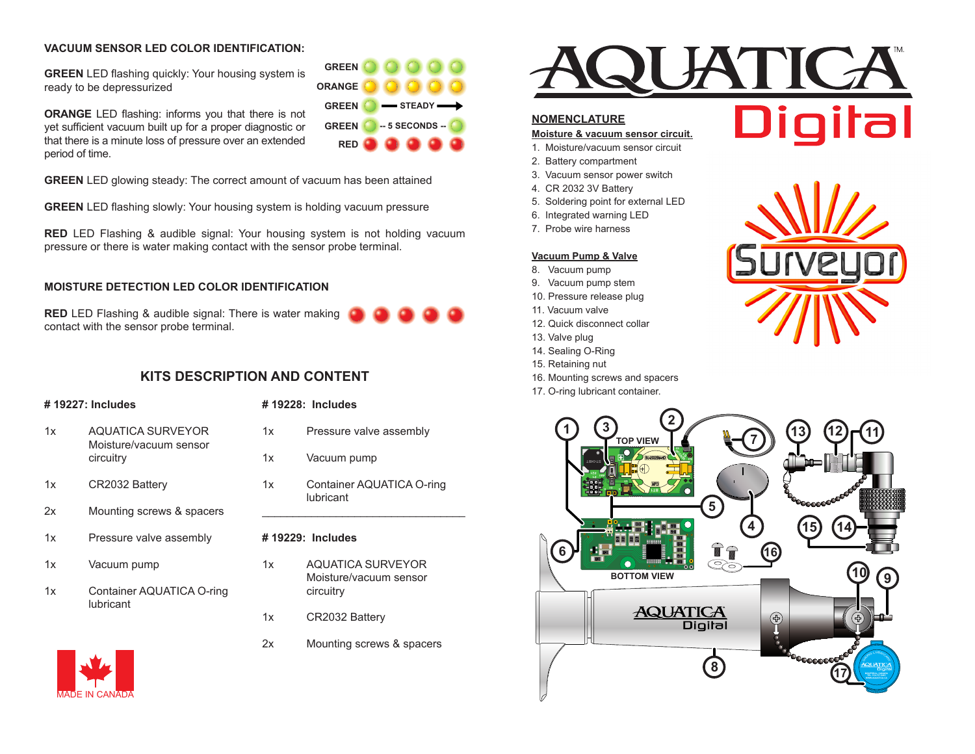### **VACUUM SENSOR LED COLOR IDENTIFICATION:**

**GREEN** LED flashing quickly: Your housing system is ready to be depressurized

**ORANGE** LED flashing: informs you that there is not yet sufficient vacuum built up for a proper diagnostic or that there is a minute loss of pressure over an extended period of time.

**GREEN** LED glowing steady: The correct amount of vacuum has been attained

**GREEN** LED flashing slowly: Your housing system is holding vacuum pressure

**RED** LED Flashing & audible signal: Your housing system is not holding vacuum pressure or there is water making contact with the sensor probe terminal.

### **MOISTURE DETECTION LED COLOR IDENTIFICATION**

**RED** LED Flashing & audible signal: There is water making **RED** contact with the sensor probe terminal.

# **KITS DESCRIPTION AND CONTENT**

#### **# 19227: Includes**

- 1x AQUATICA SURVEYOR Moisture/vacuum sensor circuitry
- 1x CR2032 Battery
- 2x Mounting screws & spacers
- 1x Pressure valve assembly
- 1x Vacuum pump
- 1x Container AQUATICA O-ring lubricant



# **# 19228: Includes**

1x Pressure valve assembly

STEADY -

**-- 5 SECONDS --**

**GREEN ORANGE GREEN GREEN RED**

- 1x Vacuum pump
- 1x Container AQUATICA O-ring lubricant \_\_\_\_\_\_\_\_\_\_\_\_\_\_\_\_\_\_\_\_\_\_\_\_\_\_\_\_\_\_\_\_\_

#### **# 19229: Includes**

- 1x AQUATICA SURVEYOR Moisture/vacuum sensor circuitry
- 1x CR2032 Battery
- 2x Mounting screws & spacers



# **NOMENCLATURE**

#### **Moisture & vacuum sensor circuit.**

- 1. Moisture/vacuum sensor circuit
- 2. Battery compartment
- 3. Vacuum sensor power switch
- 4. CR 2032 3V Battery
- 5. Soldering point for external LED
- 6. Integrated warning LED
- 7. Probe wire harness

### **Vacuum Pump & Valve**

- 8. Vacuum pump
- 9. Vacuum pump stem
- 10. Pressure release plug
- 11. Vacuum valve
- 12. Quick disconnect collar
- 13. Valve plug
- 14. Sealing O-Ring
- 15. Retaining nut
- 16. Mounting screws and spacers
- 17. O-ring lubricant container.